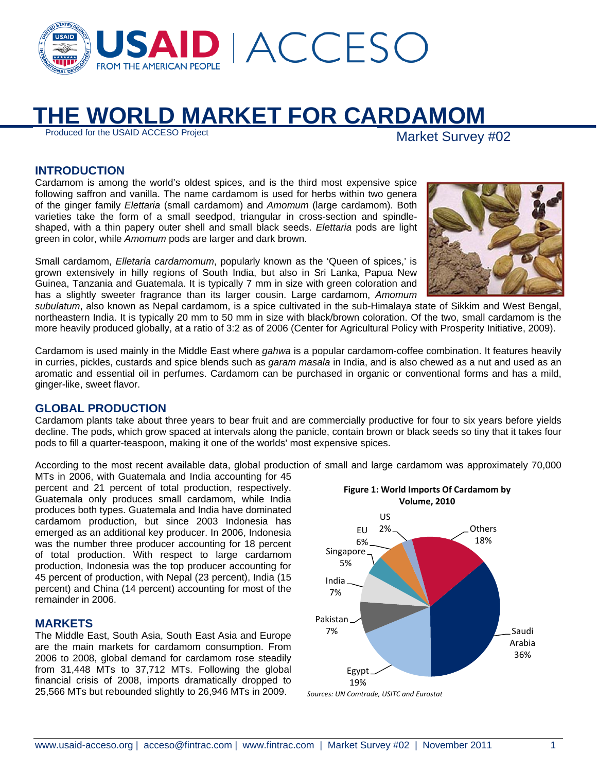

# **THE WORLD MARKET FOR CARDAMOM**<br>Produced for the USAID ACCESO Project

Market Survey #02

## **INTRODUCTION**

Cardamom is among the world's oldest spices, and is the third most expensive spice following saffron and vanilla. The name cardamom is used for herbs within two genera of the ginger family *Elettaria* (small cardamom) and *Amomum* (large cardamom). Both varieties take the form of a small seedpod, triangular in cross-section and spindleshaped, with a thin papery outer shell and small black seeds. *Elettaria* pods are light green in color, while *Amomum* pods are larger and dark brown.

Small cardamom, *Elletaria cardamomum*, popularly known as the 'Queen of spices,' is grown extensively in hilly regions of South India, but also in Sri Lanka, Papua New Guinea, Tanzania and Guatemala. It is typically 7 mm in size with green coloration and has a slightly sweeter fragrance than its larger cousin. Large cardamom, *Amomum* 



*subulatum*, also known as Nepal cardamom, is a spice cultivated in the sub-Himalaya state of Sikkim and West Bengal, northeastern India. It is typically 20 mm to 50 mm in size with black/brown coloration. Of the two, small cardamom is the more heavily produced globally, at a ratio of 3:2 as of 2006 (Center for Agricultural Policy with Prosperity Initiative, 2009).

Cardamom is used mainly in the Middle East where *gahwa* is a popular cardamom-coffee combination. It features heavily in curries, pickles, custards and spice blends such as *garam masala* in India, and is also chewed as a nut and used as an aromatic and essential oil in perfumes. Cardamom can be purchased in organic or conventional forms and has a mild, ginger-like, sweet flavor.

## **GLOBAL PRODUCTION**

Cardamom plants take about three years to bear fruit and are commercially productive for four to six years before yields decline. The pods, which grow spaced at intervals along the panicle, contain brown or black seeds so tiny that it takes four pods to fill a quarter-teaspoon, making it one of the worlds' most expensive spices.

According to the most recent available data, global production of small and large cardamom was approximately 70,000

MTs in 2006, with Guatemala and India accounting for 45 percent and 21 percent of total production, respectively. Guatemala only produces small cardamom, while India produces both types. Guatemala and India have dominated cardamom production, but since 2003 Indonesia has emerged as an additional key producer. In 2006, Indonesia was the number three producer accounting for 18 percent of total production. With respect to large cardamom production, Indonesia was the top producer accounting for 45 percent of production, with Nepal (23 percent), India (15 percent) and China (14 percent) accounting for most of the remainder in 2006.

## **MARKETS**

The Middle East, South Asia, South East Asia and Europe are the main markets for cardamom consumption. From 2006 to 2008, global demand for cardamom rose steadily from 31,448 MTs to 37,712 MTs. Following the global financial crisis of 2008, imports dramatically dropped to 25,566 MTs but rebounded slightly to 26,946 MTs in 2009.

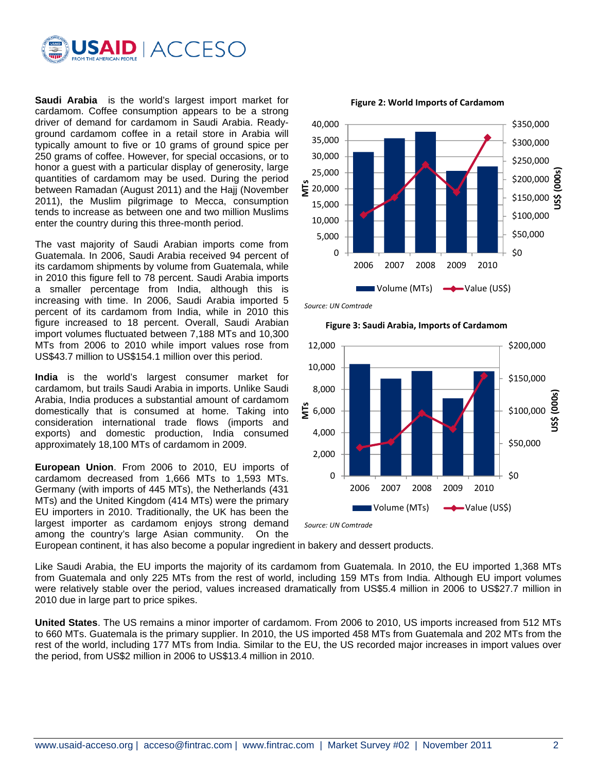

**Saudi Arabia** is the world's largest import market for cardamom. Coffee consumption appears to be a strong driver of demand for cardamom in Saudi Arabia. Readyground cardamom coffee in a retail store in Arabia will typically amount to five or 10 grams of ground spice per 250 grams of coffee. However, for special occasions, or to honor a guest with a particular display of generosity, large quantities of cardamom may be used. During the period between Ramadan (August 2011) and the Hajj (November 2011), the Muslim pilgrimage to Mecca, consumption tends to increase as between one and two million Muslims enter the country during this three-month period.

The vast majority of Saudi Arabian imports come from Guatemala. In 2006, Saudi Arabia received 94 percent of its cardamom shipments by volume from Guatemala, while in 2010 this figure fell to 78 percent. Saudi Arabia imports a smaller percentage from India, although this is increasing with time. In 2006, Saudi Arabia imported 5 percent of its cardamom from India, while in 2010 this figure increased to 18 percent. Overall, Saudi Arabian import volumes fluctuated between 7,188 MTs and 10,300 MTs from 2006 to 2010 while import values rose from US\$43.7 million to US\$154.1 million over this period.

**India** is the world's largest consumer market for cardamom, but trails Saudi Arabia in imports. Unlike Saudi Arabia, India produces a substantial amount of cardamom domestically that is consumed at home. Taking into consideration international trade flows (imports and exports) and domestic production, India consumed approximately 18,100 MTs of cardamom in 2009.

**European Union**. From 2006 to 2010, EU imports of cardamom decreased from 1,666 MTs to 1,593 MTs. Germany (with imports of 445 MTs), the Netherlands (431 MTs) and the United Kingdom (414 MTs) were the primary EU importers in 2010. Traditionally, the UK has been the largest importer as cardamom enjoys strong demand among the country's large Asian community. On the



**Figure 2: World Imports of Cardamom**

*Source: UN Comtrade*



**Figure 3: Saudi Arabia, Imports of Cardamom**

*Source: UN Comtrade*

European continent, it has also become a popular ingredient in bakery and dessert products.

Like Saudi Arabia, the EU imports the majority of its cardamom from Guatemala. In 2010, the EU imported 1,368 MTs from Guatemala and only 225 MTs from the rest of world, including 159 MTs from India. Although EU import volumes were relatively stable over the period, values increased dramatically from US\$5.4 million in 2006 to US\$27.7 million in 2010 due in large part to price spikes.

**United States**. The US remains a minor importer of cardamom. From 2006 to 2010, US imports increased from 512 MTs to 660 MTs. Guatemala is the primary supplier. In 2010, the US imported 458 MTs from Guatemala and 202 MTs from the rest of the world, including 177 MTs from India. Similar to the EU, the US recorded major increases in import values over the period, from US\$2 million in 2006 to US\$13.4 million in 2010.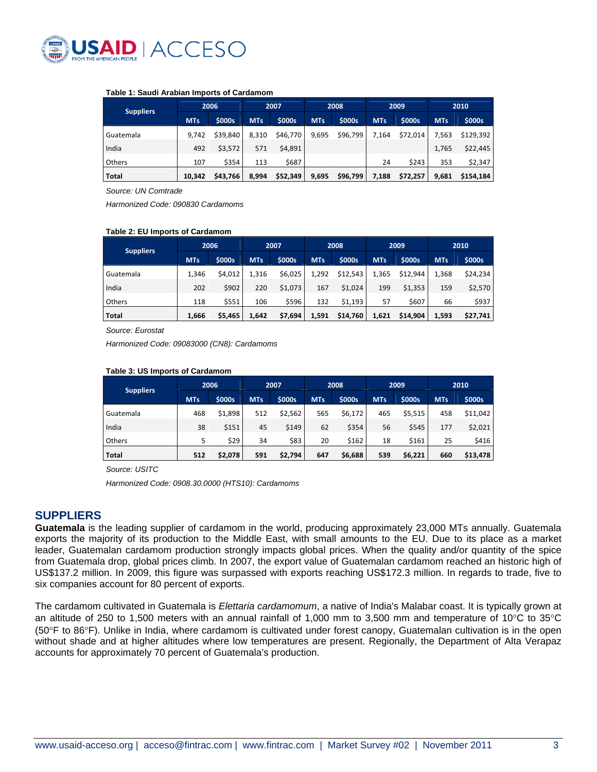

#### **Table 1: Saudi Arabian Imports of Cardamom**

| <b>Suppliers</b> |            | 2006         | 2007       |               | 2008       |               | 2009       |          | 2010       |           |
|------------------|------------|--------------|------------|---------------|------------|---------------|------------|----------|------------|-----------|
|                  | <b>MTs</b> | <b>SOOOS</b> | <b>MTs</b> | <b>\$000s</b> | <b>MTs</b> | <b>\$000s</b> | <b>MTs</b> | \$000s   | <b>MTs</b> | \$000s    |
| Guatemala        | 9.742      | \$39.840     | 8.310      | \$46,770      | 9,695      | \$96,799      | 7.164      | \$72,014 | 7.563      | \$129.392 |
| India            | 492        | \$3,572      | 571        | \$4,891       |            |               |            |          | 1,765      | \$22,445  |
| <b>Others</b>    | 107        | \$354        | 113        | \$687         |            |               | 24         | \$243    | 353        | \$2,347   |
| Total            | 10.342     | \$43,766     | 8,994      | \$52,349      | 9,695      | \$96,799      | 7,188      | \$72,257 | 9,681      | \$154,184 |

*Source: UN Comtrade* 

*Harmonized Code: 090830 Cardamoms* 

#### **Table 2: EU Imports of Cardamom**

| <b>Suppliers</b> | 2006       |              | 2007       |         | 2008       |          | 2009       |          | 2010       |          |
|------------------|------------|--------------|------------|---------|------------|----------|------------|----------|------------|----------|
|                  | <b>MTs</b> | <b>SOOOS</b> | <b>MTs</b> | \$000s  | <b>MTs</b> | \$000s   | <b>MTs</b> | \$000s   | <b>MTs</b> | \$000s   |
| Guatemala        | 1,346      | \$4,012      | 1,316      | \$6,025 | 1,292      | \$12,543 | 1,365      | \$12,944 | 1,368      | \$24,234 |
| India            | 202        | \$902        | 220        | \$1,073 | 167        | \$1,024  | 199        | \$1,353  | 159        | \$2,570  |
| <b>Others</b>    | 118        | \$551        | 106        | \$596   | 132        | \$1,193  | 57         | \$607    | 66         | \$937    |
| Total            | 1,666      | \$5,465      | 1,642      | \$7,694 | 1,591      | \$14,760 | 1,621      | \$14,904 | 1,593      | \$27,741 |

*Source: Eurostat* 

*Harmonized Code: 09083000 (CN8): Cardamoms* 

#### **Table 3: US Imports of Cardamom**

| <b>Suppliers</b> | 2006       |              |            | 2007    |            | 2008    |     | 2009    |            | 2010     |  |
|------------------|------------|--------------|------------|---------|------------|---------|-----|---------|------------|----------|--|
|                  | <b>MTs</b> | <b>SOOOS</b> | <b>MTs</b> | \$000s  | <b>MTs</b> | \$000s  | MTs | \$000s  | <b>MTs</b> | \$000s   |  |
| Guatemala        | 468        | \$1,898      | 512        | \$2,562 | 565        | \$6,172 | 465 | \$5,515 | 458        | \$11,042 |  |
| India            | 38         | \$151        | 45         | \$149   | 62         | \$354   | 56  | \$545   | 177        | \$2,021  |  |
| Others           |            | \$29         | 34         | \$83    | 20         | \$162   | 18  | \$161   | 25         | \$416    |  |
| Total            | 512        | \$2,078      | 591        | \$2,794 | 647        | \$6,688 | 539 | \$6,221 | 660        | \$13,478 |  |

*Source: USITC* 

*Harmonized Code: 0908.30.0000 (HTS10): Cardamoms* 

#### **SUPPLIERS**

**Guatemala** is the leading supplier of cardamom in the world, producing approximately 23,000 MTs annually. Guatemala exports the majority of its production to the Middle East, with small amounts to the EU. Due to its place as a market leader, Guatemalan cardamom production strongly impacts global prices. When the quality and/or quantity of the spice from Guatemala drop, global prices climb. In 2007, the export value of Guatemalan cardamom reached an historic high of US\$137.2 million. In 2009, this figure was surpassed with exports reaching US\$172.3 million. In regards to trade, five to six companies account for 80 percent of exports.

The cardamom cultivated in Guatemala is *Elettaria cardamomum*, a native of India's Malabar coast. It is typically grown at an altitude of 250 to 1,500 meters with an annual rainfall of 1,000 mm to 3,500 mm and temperature of 10 $\degree$ C to 35 $\degree$ C (50 $\degree$ F to 86 $\degree$ F). Unlike in India, where cardamom is cultivated under forest canopy, Guatemalan cultivation is in the open without shade and at higher altitudes where low temperatures are present. Regionally, the Department of Alta Verapaz accounts for approximately 70 percent of Guatemala's production.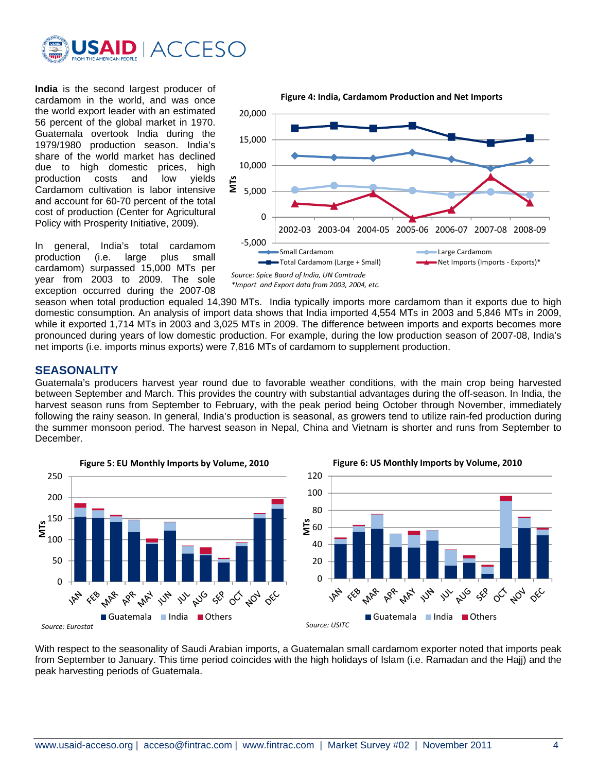

**India** is the second largest producer of cardamom in the world, and was once the world export leader with an estimated 56 percent of the global market in 1970. Guatemala overtook India during the 1979/1980 production season. India's share of the world market has declined due to high domestic prices, high production costs and low yields Cardamom cultivation is labor intensive and account for 60-70 percent of the total cost of production (Center for Agricultural Policy with Prosperity Initiative, 2009).

In general, India's total cardamom production (i.e. large plus small cardamom) surpassed 15,000 MTs per year from 2003 to 2009. The sole exception occurred during the 2007-08



*\*Import and Export data from 2003, 2004, etc.*

season when total production equaled 14,390 MTs. India typically imports more cardamom than it exports due to high domestic consumption. An analysis of import data shows that India imported 4,554 MTs in 2003 and 5,846 MTs in 2009, while it exported 1,714 MTs in 2003 and 3,025 MTs in 2009. The difference between imports and exports becomes more pronounced during years of low domestic production. For example, during the low production season of 2007-08, India's net imports (i.e. imports minus exports) were 7,816 MTs of cardamom to supplement production.

#### **SEASONALITY**

Guatemala's producers harvest year round due to favorable weather conditions, with the main crop being harvested between September and March. This provides the country with substantial advantages during the off-season. In India, the harvest season runs from September to February, with the peak period being October through November, immediately following the rainy season. In general, India's production is seasonal, as growers tend to utilize rain-fed production during the summer monsoon period. The harvest season in Nepal, China and Vietnam is shorter and runs from September to December.



**Figure 6: US Monthly Imports by Volume, 2010** 120 100 80  $\mathbf{\mathring{E}}$  60 40 20 0 FEB **MAR** APR. **MAY** 14 AUG SEP  $\delta^{\!\!\diamond\!}$ **ADY** 124  $\check{\mathcal{S}}$ Guatemala India Others *Source: USITC*

With respect to the seasonality of Saudi Arabian imports, a Guatemalan small cardamom exporter noted that imports peak from September to January. This time period coincides with the high holidays of Islam (i.e. Ramadan and the Hajj) and the peak harvesting periods of Guatemala.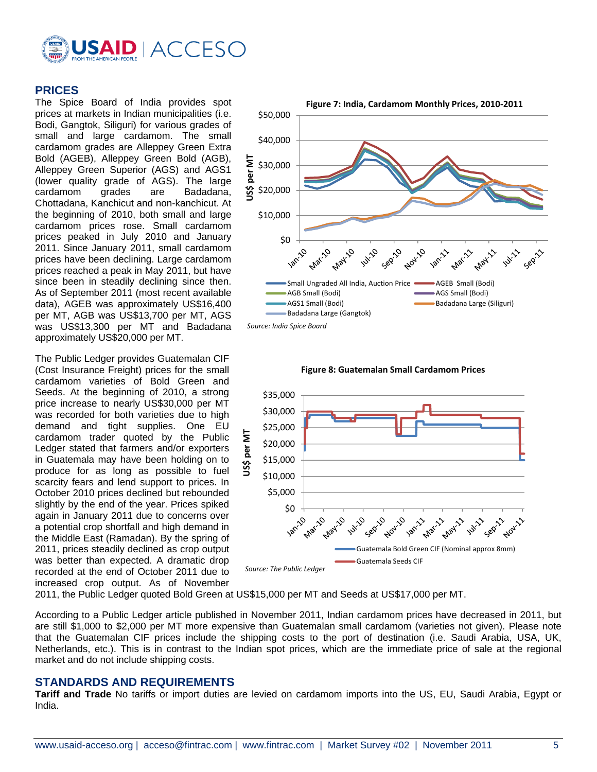

## **PRICES**

The Spice Board of India provides spot prices at markets in Indian municipalities (i.e. Bodi, Gangtok, Siliguri) for various grades of small and large cardamom. The small cardamom grades are Alleppey Green Extra Bold (AGEB), Alleppey Green Bold (AGB), Alleppey Green Superior (AGS) and AGS1 (lower quality grade of AGS). The large cardamom grades are Badadana, Chottadana, Kanchicut and non-kanchicut. At the beginning of 2010, both small and large cardamom prices rose. Small cardamom prices peaked in July 2010 and January 2011. Since January 2011, small cardamom prices have been declining. Large cardamom prices reached a peak in May 2011, but have since been in steadily declining since then. As of September 2011 (most recent available data), AGEB was approximately US\$16,400 per MT, AGB was US\$13,700 per MT, AGS was US\$13,300 per MT and Badadana approximately US\$20,000 per MT.

The Public Ledger provides Guatemalan CIF (Cost Insurance Freight) prices for the small cardamom varieties of Bold Green and Seeds. At the beginning of 2010, a strong price increase to nearly US\$30,000 per MT was recorded for both varieties due to high demand and tight supplies. One EU cardamom trader quoted by the Public Ledger stated that farmers and/or exporters in Guatemala may have been holding on to produce for as long as possible to fuel scarcity fears and lend support to prices. In October 2010 prices declined but rebounded slightly by the end of the year. Prices spiked again in January 2011 due to concerns over a potential crop shortfall and high demand in the Middle East (Ramadan). By the spring of 2011, prices steadily declined as crop output was better than expected. A dramatic drop recorded at the end of October 2011 due to increased crop output. As of November







2011, the Public Ledger quoted Bold Green at US\$15,000 per MT and Seeds at US\$17,000 per MT.

According to a Public Ledger article published in November 2011, Indian cardamom prices have decreased in 2011, but are still \$1,000 to \$2,000 per MT more expensive than Guatemalan small cardamom (varieties not given). Please note that the Guatemalan CIF prices include the shipping costs to the port of destination (i.e. Saudi Arabia, USA, UK, Netherlands, etc.). This is in contrast to the Indian spot prices, which are the immediate price of sale at the regional market and do not include shipping costs.

#### **STANDARDS AND REQUIREMENTS**

**Tariff and Trade** No tariffs or import duties are levied on cardamom imports into the US, EU, Saudi Arabia, Egypt or India.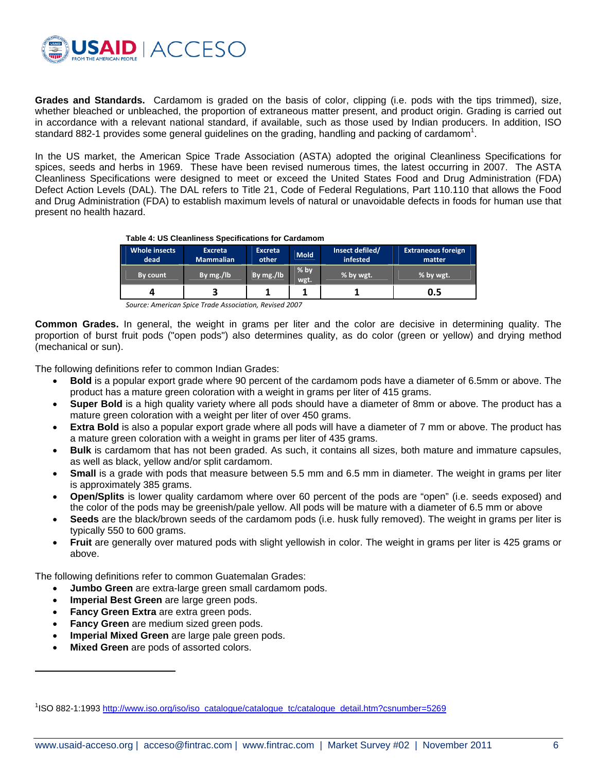

**Grades and Standards.** Cardamom is graded on the basis of color, clipping (i.e. pods with the tips trimmed), size, whether bleached or unbleached, the proportion of extraneous matter present, and product origin. Grading is carried out in accordance with a relevant national standard, if available, such as those used by Indian producers. In addition, ISO standard 882-1 provides some general guidelines on the grading, handling and packing of cardamom<sup>1</sup>.

In the US market, the American Spice Trade Association (ASTA) adopted the original Cleanliness Specifications for spices, seeds and herbs in 1969. These have been revised numerous times, the latest occurring in 2007. The ASTA Cleanliness Specifications were designed to meet or exceed the United States Food and Drug Administration (FDA) Defect Action Levels (DAL). The DAL refers to Title 21, Code of Federal Regulations, Part 110.110 that allows the Food and Drug Administration (FDA) to establish maximum levels of natural or unavoidable defects in foods for human use that present no health hazard.

#### **Table 4: US Cleanliness Specifications for Cardamom**

| <b>Whole insects</b><br>dead | <b>Excreta</b><br><b>Mammalian</b> | <b>Excreta</b><br>other | <b>Mold</b>    | Insect defiled/<br>infested | <b>Extraneous foreign</b><br>matter |
|------------------------------|------------------------------------|-------------------------|----------------|-----------------------------|-------------------------------------|
| By count                     | By mg./lb                          | By mg./lb               | $%$ by<br>wgt. | % by wgt.                   | % by wgt.                           |
| 4                            |                                    |                         |                |                             | 0.5                                 |

*Source: American Spice Trade Association, Revised 2007* 

**Common Grades.** In general, the weight in grams per liter and the color are decisive in determining quality. The proportion of burst fruit pods ("open pods") also determines quality, as do color (green or yellow) and drying method (mechanical or sun).

The following definitions refer to common Indian Grades:

- **Bold** is a popular export grade where 90 percent of the cardamom pods have a diameter of 6.5mm or above. The product has a mature green coloration with a weight in grams per liter of 415 grams.
- **Super Bold** is a high quality variety where all pods should have a diameter of 8mm or above. The product has a mature green coloration with a weight per liter of over 450 grams.
- **Extra Bold** is also a popular export grade where all pods will have a diameter of 7 mm or above. The product has a mature green coloration with a weight in grams per liter of 435 grams.
- **Bulk** is cardamom that has not been graded. As such, it contains all sizes, both mature and immature capsules, as well as black, yellow and/or split cardamom.
- **Small** is a grade with pods that measure between 5.5 mm and 6.5 mm in diameter. The weight in grams per liter is approximately 385 grams.
- **Open/Splits** is lower quality cardamom where over 60 percent of the pods are "open" (i.e. seeds exposed) and the color of the pods may be greenish/pale yellow. All pods will be mature with a diameter of 6.5 mm or above
- **Seeds** are the black/brown seeds of the cardamom pods (i.e. husk fully removed). The weight in grams per liter is typically 550 to 600 grams.
- **Fruit** are generally over matured pods with slight yellowish in color. The weight in grams per liter is 425 grams or above.

The following definitions refer to common Guatemalan Grades:

- **Jumbo Green** are extra-large green small cardamom pods.
- **Imperial Best Green** are large green pods.
- **Fancy Green Extra** are extra green pods.
- **Fancy Green** are medium sized green pods.
- **Imperial Mixed Green** are large pale green pods.
- **Mixed Green** are pods of assorted colors.

 $\overline{\phantom{a}}$ 

<sup>&</sup>lt;sup>1</sup>ISO 882-1:1993 http://www.iso.org/iso/iso\_catalogue/catalogue\_tc/catalogue\_detail.htm?csnumber=5269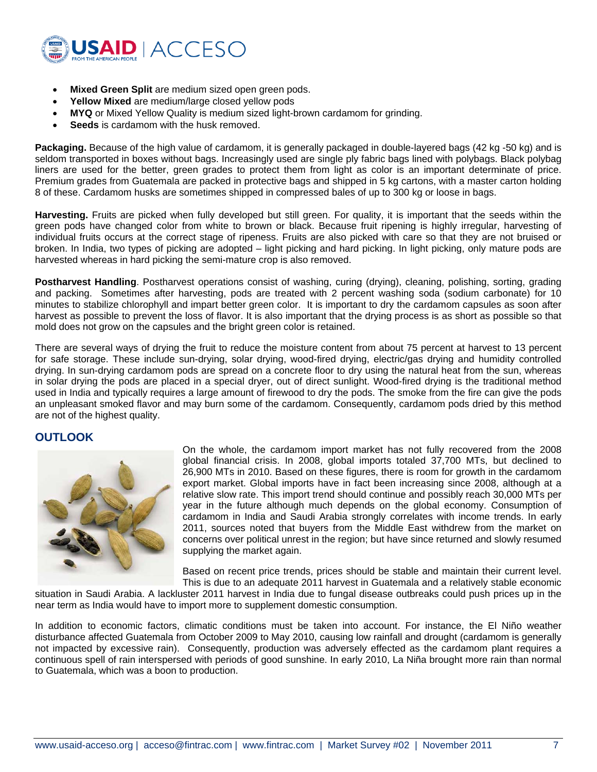

- **Mixed Green Split** are medium sized open green pods.
- **Yellow Mixed** are medium/large closed yellow pods
- **MYQ** or Mixed Yellow Quality is medium sized light-brown cardamom for grinding.
- **Seeds** is cardamom with the husk removed.

**Packaging.** Because of the high value of cardamom, it is generally packaged in double-layered bags (42 kg -50 kg) and is seldom transported in boxes without bags. Increasingly used are single ply fabric bags lined with polybags. Black polybag liners are used for the better, green grades to protect them from light as color is an important determinate of price. Premium grades from Guatemala are packed in protective bags and shipped in 5 kg cartons, with a master carton holding 8 of these. Cardamom husks are sometimes shipped in compressed bales of up to 300 kg or loose in bags.

**Harvesting.** Fruits are picked when fully developed but still green. For quality, it is important that the seeds within the green pods have changed color from white to brown or black. Because fruit ripening is highly irregular, harvesting of individual fruits occurs at the correct stage of ripeness. Fruits are also picked with care so that they are not bruised or broken. In India, two types of picking are adopted – light picking and hard picking. In light picking, only mature pods are harvested whereas in hard picking the semi-mature crop is also removed.

**Postharvest Handling**. Postharvest operations consist of washing, curing (drying), cleaning, polishing, sorting, grading and packing. Sometimes after harvesting, pods are treated with 2 percent washing soda (sodium carbonate) for 10 minutes to stabilize chlorophyll and impart better green color. It is important to dry the cardamom capsules as soon after harvest as possible to prevent the loss of flavor. It is also important that the drying process is as short as possible so that mold does not grow on the capsules and the bright green color is retained.

There are several ways of drying the fruit to reduce the moisture content from about 75 percent at harvest to 13 percent for safe storage. These include sun-drying, solar drying, wood-fired drying, electric/gas drying and humidity controlled drying. In sun-drying cardamom pods are spread on a concrete floor to dry using the natural heat from the sun, whereas in solar drying the pods are placed in a special dryer, out of direct sunlight. Wood-fired drying is the traditional method used in India and typically requires a large amount of firewood to dry the pods. The smoke from the fire can give the pods an unpleasant smoked flavor and may burn some of the cardamom. Consequently, cardamom pods dried by this method are not of the highest quality.

#### **OUTLOOK**



On the whole, the cardamom import market has not fully recovered from the 2008 global financial crisis. In 2008, global imports totaled 37,700 MTs, but declined to 26,900 MTs in 2010. Based on these figures, there is room for growth in the cardamom export market. Global imports have in fact been increasing since 2008, although at a relative slow rate. This import trend should continue and possibly reach 30,000 MTs per year in the future although much depends on the global economy. Consumption of cardamom in India and Saudi Arabia strongly correlates with income trends. In early 2011, sources noted that buyers from the Middle East withdrew from the market on concerns over political unrest in the region; but have since returned and slowly resumed supplying the market again.

Based on recent price trends, prices should be stable and maintain their current level. This is due to an adequate 2011 harvest in Guatemala and a relatively stable economic

situation in Saudi Arabia. A lackluster 2011 harvest in India due to fungal disease outbreaks could push prices up in the near term as India would have to import more to supplement domestic consumption.

In addition to economic factors, climatic conditions must be taken into account. For instance, the El Niño weather disturbance affected Guatemala from October 2009 to May 2010, causing low rainfall and drought (cardamom is generally not impacted by excessive rain). Consequently, production was adversely effected as the cardamom plant requires a continuous spell of rain interspersed with periods of good sunshine. In early 2010, La Niña brought more rain than normal to Guatemala, which was a boon to production.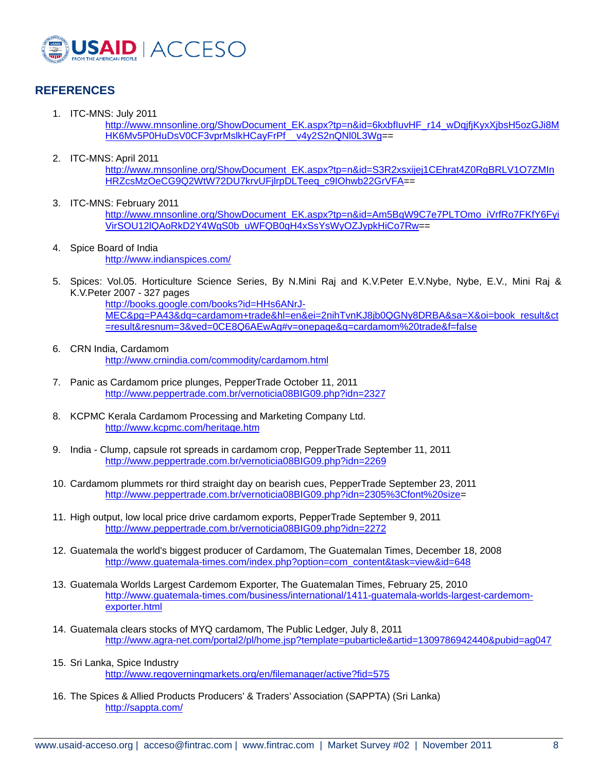

# **REFERENCES**

1. ITC-MNS: July 2011

http://www.mnsonline.org/ShowDocument\_EK.aspx?tp=n&id=6kxbfluvHF\_r14\_wDqjfjKyxXjbsH5ozGJi8M HK6Mv5P0HuDsV0CF3vprMslkHCayFrPf\_v4y2S2nQNl0L3Wg==

2. ITC-MNS: April 2011

http://www.mnsonline.org/ShowDocument\_EK.aspx?tp=n&id=S3R2xsxijej1CEhrat4Z0RgBRLV1O7ZMIn HRZcsMzOeCG9Q2WtW72DU7krvUFjlrpDLTeeq\_c9IOhwb22GrVFA==

- 3. ITC-MNS: February 2011 http://www.mnsonline.org/ShowDocument\_EK.aspx?tp=n&id=Am5BqW9C7e7PLTOmo\_iVrfRo7FKfY6Fyi VirSOU12lQAoRkD2Y4WgS0b\_uWFQB0qH4xSsYsWyOZJypkHiCo7Rw==
- 4. Spice Board of India http://www.indianspices.com/
- 5. Spices: Vol.05. Horticulture Science Series, By N.Mini Raj and K.V.Peter E.V.Nybe, Nybe, E.V., Mini Raj & K.V.Peter 2007 - 327 pages

http://books.google.com/books?id=HHs6ANrJ-MEC&pg=PA43&dq=cardamom+trade&hl=en&ei=2nihTvnKJ8jb0QGNy8DRBA&sa=X&oi=book\_result&ct =result&resnum=3&ved=0CE8Q6AEwAg#v=onepage&q=cardamom%20trade&f=false

- 6. CRN India, Cardamom http://www.crnindia.com/commodity/cardamom.html
- 7. Panic as Cardamom price plunges, PepperTrade October 11, 2011 http://www.peppertrade.com.br/vernoticia08BIG09.php?idn=2327
- 8. KCPMC Kerala Cardamom Processing and Marketing Company Ltd. http://www.kcpmc.com/heritage.htm
- 9. India Clump, capsule rot spreads in cardamom crop, PepperTrade September 11, 2011 http://www.peppertrade.com.br/vernoticia08BIG09.php?idn=2269
- 10. Cardamom plummets ror third straight day on bearish cues, PepperTrade September 23, 2011 http://www.peppertrade.com.br/vernoticia08BIG09.php?idn=2305%3Cfont%20size=
- 11. High output, low local price drive cardamom exports, PepperTrade September 9, 2011 http://www.peppertrade.com.br/vernoticia08BIG09.php?idn=2272
- 12. Guatemala the world's biggest producer of Cardamom, The Guatemalan Times, December 18, 2008 http://www.guatemala-times.com/index.php?option=com\_content&task=view&id=648
- 13. Guatemala Worlds Largest Cardemom Exporter, The Guatemalan Times, February 25, 2010 http://www.guatemala-times.com/business/international/1411-guatemala-worlds-largest-cardemomexporter.html
- 14. Guatemala clears stocks of MYQ cardamom, The Public Ledger, July 8, 2011 http://www.agra-net.com/portal2/pl/home.jsp?template=pubarticle&artid=1309786942440&pubid=ag047
- 15. Sri Lanka, Spice Industry http://www.regoverningmarkets.org/en/filemanager/active?fid=575
- 16. The Spices & Allied Products Producers' & Traders' Association (SAPPTA) (Sri Lanka) http://sappta.com/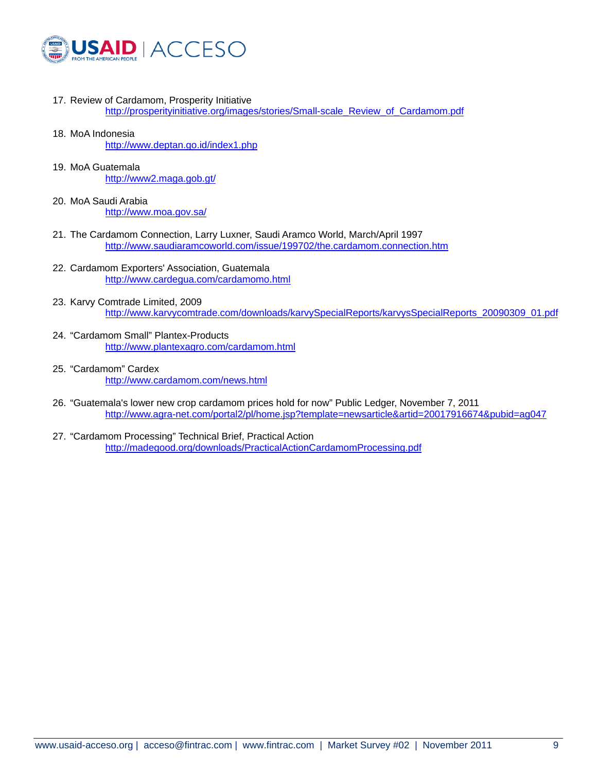

- 17. Review of Cardamom, Prosperity Initiative http://prosperityinitiative.org/images/stories/Small-scale\_Review\_of\_Cardamom.pdf
- 18. MoA Indonesia http://www.deptan.go.id/index1.php
- 19. MoA Guatemala http://www2.maga.gob.gt/
- 20. MoA Saudi Arabia http://www.moa.gov.sa/
- 21. The Cardamom Connection, Larry Luxner, Saudi Aramco World, March/April 1997 http://www.saudiaramcoworld.com/issue/199702/the.cardamom.connection.htm
- 22. Cardamom Exporters' Association, Guatemala http://www.cardegua.com/cardamomo.html
- 23. Karvy Comtrade Limited, 2009 http://www.karvycomtrade.com/downloads/karvySpecialReports/karvysSpecialReports\_20090309\_01.pdf
- 24. "Cardamom Small" Plantex-Products http://www.plantexagro.com/cardamom.html
- 25. "Cardamom" Cardex http://www.cardamom.com/news.html
- 26. "Guatemala's lower new crop cardamom prices hold for now" Public Ledger, November 7, 2011 http://www.agra-net.com/portal2/pl/home.jsp?template=newsarticle&artid=20017916674&pubid=ag047
- 27. "Cardamom Processing" Technical Brief, Practical Action http://madegood.org/downloads/PracticalActionCardamomProcessing.pdf